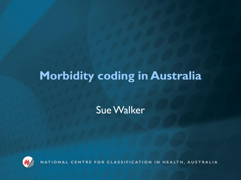## **Morbidity coding in Australia**

Sue Walker



NATIONAL CENTRE FOR CLASSIFICATION IN HEALTH, AUSTRALIA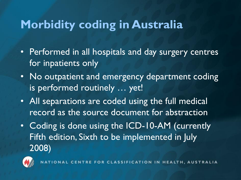### **Morbidity coding in Australia**

- Performed in all hospitals and day surgery centres for inpatients only
- No outpatient and emergency department coding is performed routinely … yet!
- All separations are coded using the full medical record as the source document for abstraction
- Coding is done using the ICD-10-AM (currently Fifth edition, Sixth to be implemented in July 2008)



ONAL CENTRE FOR CLASSIFICATION IN HEALTH, AUSTRALIA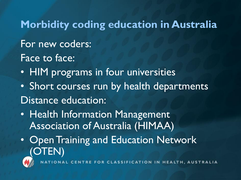### **Morbidity coding education in Australia**

### For new coders: Face to face:

- HIM programs in four universities
- Short courses run by health departments Distance education:
- Health Information Management Association of Australia (HIMAA)
- Open Training and Education Network (OTEN)



CENTRE FOR CLASSIFICATION IN HEALTH, AUSTRALIA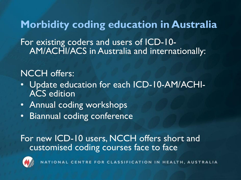**Morbidity coding education in Australia** For existing coders and users of ICD-10- AM/ACHI/ACS in Australia and internationally:

#### NCCH offers:

- Update education for each ICD-10-AM/ACHI-ACS edition
- Annual coding workshops
- Biannual coding conference

For new ICD-10 users, NCCH offers short and customised coding courses face to face



NATIONAL CENTRE FOR CLASSIFICATION IN HEALTH, AUSTRALIA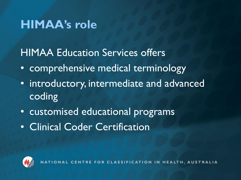### **HIMAA's role**

HIMAA Education Services offers

- comprehensive medical terminology
- introductory, intermediate and advanced coding
- customised educational programs
- Clinical Coder Certification



AL CENTRE FOR CLASSIFICATION IN HEALTH, AUSTRALIA